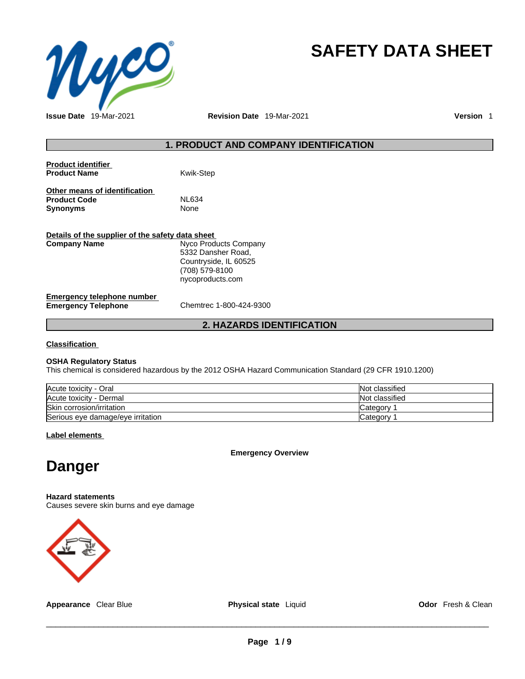

# **SAFETY DATA SHEET**

**Issue Date** 19-Mar-2021 **Revision Date** 19-Mar-2021 **Version** 1

# **1. PRODUCT AND COMPANY IDENTIFICATION**

| <b>Product identifier</b><br><b>Product Name</b> | <b>Kwik-Step</b>      |
|--------------------------------------------------|-----------------------|
| Other means of identification                    | <b>NL634</b>          |
| <b>Product Code</b>                              |                       |
| <b>Synonyms</b>                                  | <b>None</b>           |
| Details of the supplier of the safety data sheet |                       |
| <b>Company Name</b>                              | Nyco Products Company |
|                                                  | 5332 Dansher Road,    |
|                                                  | Countryside, IL 60525 |
|                                                  | (708) 579-8100        |
|                                                  | nycoproducts.com      |
|                                                  |                       |

#### **Emergency telephone number**<br> **Emergency Telephone**<br>
Chemtrec 1-800-424-9300 **Emergency Telephone**

# **2. HAZARDS IDENTIFICATION**

**Classification**

#### **OSHA Regulatory Status**

This chemical is considered hazardous by the 2012 OSHA Hazard Communication Standard (29 CFR 1910.1200)

| Acute toxicity - Oral             | Not classified |
|-----------------------------------|----------------|
| Acute toxicity - Dermal           | Not classified |
| Skin corrosion/irritation         | Category       |
| Serious eye damage/eye irritation | lCategorv      |

### **Label elements**

**Emergency Overview** 

# **Danger**

#### **Hazard statements**

Causes severe skin burns and eye damage



**Appearance** Clear Blue **Physical state** Liquid **Odor** Fresh & Clean

 $\_$  ,  $\_$  ,  $\_$  ,  $\_$  ,  $\_$  ,  $\_$  ,  $\_$  ,  $\_$  ,  $\_$  ,  $\_$  ,  $\_$  ,  $\_$  ,  $\_$  ,  $\_$  ,  $\_$  ,  $\_$  ,  $\_$  ,  $\_$  ,  $\_$  ,  $\_$  ,  $\_$  ,  $\_$  ,  $\_$  ,  $\_$  ,  $\_$  ,  $\_$  ,  $\_$  ,  $\_$  ,  $\_$  ,  $\_$  ,  $\_$  ,  $\_$  ,  $\_$  ,  $\_$  ,  $\_$  ,  $\_$  ,  $\_$  ,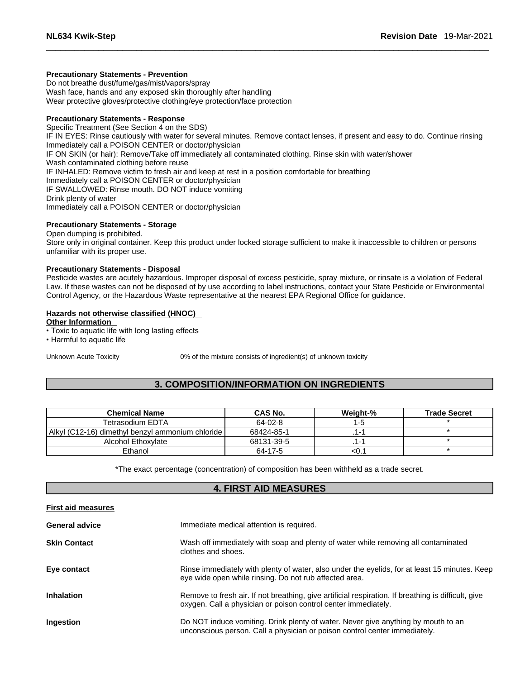#### **Precautionary Statements - Prevention**

Do not breathe dust/fume/gas/mist/vapors/spray Wash face, hands and any exposed skin thoroughly after handling Wear protective gloves/protective clothing/eye protection/face protection

# **Precautionary Statements - Response**

Specific Treatment (See Section 4 on the SDS) IF IN EYES: Rinse cautiously with water for several minutes. Remove contact lenses, if present and easy to do. Continue rinsing Immediately call a POISON CENTER or doctor/physician IF ON SKIN (or hair): Remove/Take off immediately all contaminated clothing. Rinse skin with water/shower Wash contaminated clothing before reuse IF INHALED: Remove victim to fresh air and keep at rest in a position comfortable for breathing Immediately call a POISON CENTER or doctor/physician IF SWALLOWED: Rinse mouth. DO NOT induce vomiting Drink plenty of water Immediately call a POISON CENTER or doctor/physician

#### **Precautionary Statements - Storage**

Open dumping is prohibited.

Store only in original container. Keep this product under locked storage sufficient to make it inaccessible to children or persons unfamiliar with its proper use.

#### **Precautionary Statements - Disposal**

Pesticide wastes are acutely hazardous. Improper disposal of excess pesticide, spray mixture, or rinsate is a violation of Federal Law. If these wastes can not be disposed of by use according to label instructions, contact your State Pesticide or Environmental Control Agency, or the Hazardous Waste representative at the nearest EPA Regional Office for guidance.

#### **Hazards not otherwise classified (HNOC)**

**Other Information** 

• Toxic to aquatic life with long lasting effects

• Harmful to aquatic life

Unknown Acute Toxicity 0% of the mixture consists of ingredient(s) of unknown toxicity

# **3. COMPOSITION/INFORMATION ON INGREDIENTS**

| <b>Chemical Name</b>                             | CAS No.    | Weight-% | <b>Trade Secret</b> |
|--------------------------------------------------|------------|----------|---------------------|
| Tetrasodium EDTA                                 | 64-02-8    | $1 - 5$  |                     |
| Alkyl (C12-16) dimethyl benzyl ammonium chloride | 68424-85-1 |          |                     |
| Alcohol Ethoxylate                               | 68131-39-5 |          |                     |
| Ethanol                                          | 64-17-5    | $<$ 0.   |                     |

\*The exact percentage (concentration) of composition has been withheld as a trade secret.

# **4. FIRST AID MEASURES**

#### **First aid measures**

| <b>General advice</b> | Immediate medical attention is required.                                                                                                                              |
|-----------------------|-----------------------------------------------------------------------------------------------------------------------------------------------------------------------|
| <b>Skin Contact</b>   | Wash off immediately with soap and plenty of water while removing all contaminated<br>clothes and shoes.                                                              |
| Eye contact           | Rinse immediately with plenty of water, also under the eyelids, for at least 15 minutes. Keep<br>eye wide open while rinsing. Do not rub affected area.               |
| <b>Inhalation</b>     | Remove to fresh air. If not breathing, give artificial respiration. If breathing is difficult, give<br>oxygen. Call a physician or poison control center immediately. |
| Ingestion             | Do NOT induce vomiting. Drink plenty of water. Never give anything by mouth to an<br>unconscious person. Call a physician or poison control center immediately.       |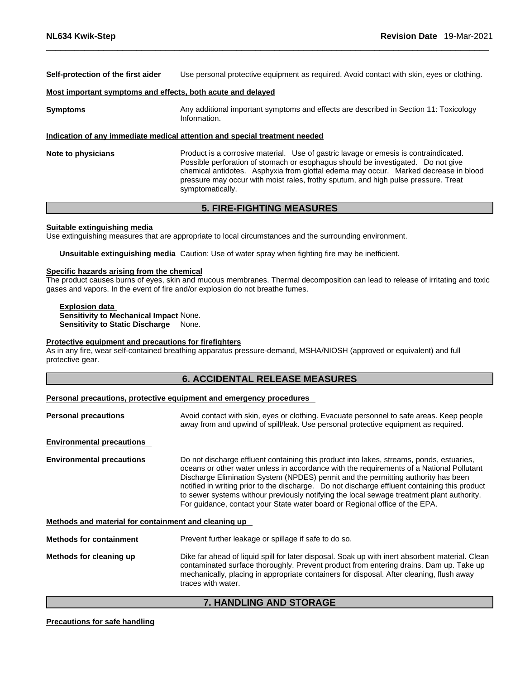**Self-protection of the first aider** Use personal protective equipment as required. Avoid contact with skin, eyes or clothing.

#### **Most important symptoms and effects, both acute and delayed**

**Symptoms** Any additional important symptoms and effects are described in Section 11: Toxicology Information.

### **Indication of any immediate medical attention and special treatment needed**

**Note to physicians** Product is a corrosive material. Use of gastric lavage or emesis is contraindicated. Possible perforation of stomach or esophagus should be investigated. Do not give chemical antidotes. Asphyxia from glottal edema may occur. Marked decrease in blood pressure may occur with moist rales, frothy sputum, and high pulse pressure. Treat symptomatically.

# **5. FIRE-FIGHTING MEASURES**

#### **Suitable extinguishing media**

Use extinguishing measures that are appropriate to local circumstances and the surrounding environment.

**Unsuitable extinguishing media** Caution: Use of water spray when fighting fire may be inefficient.

#### **Specific hazards arising from the chemical**

The product causes burns of eyes, skin and mucous membranes. Thermal decomposition can lead to release of irritating and toxic gases and vapors. In the event of fire and/or explosion do not breathe fumes.

**Explosion data Sensitivity to Mechanical Impact** None. **Sensitivity to Static Discharge** None.

#### **Protective equipment and precautions for firefighters**

As in any fire, wear self-contained breathing apparatus pressure-demand, MSHA/NIOSH (approved or equivalent) and full protective gear.

# **6. ACCIDENTAL RELEASE MEASURES**

#### **Personal precautions, protective equipment and emergency procedures**

| <b>Personal precautions</b>                          | Avoid contact with skin, eyes or clothing. Evacuate personnel to safe areas. Keep people<br>away from and upwind of spill/leak. Use personal protective equipment as required.                                                                                                                                                                                                                                                                                                                                                                         |  |  |
|------------------------------------------------------|--------------------------------------------------------------------------------------------------------------------------------------------------------------------------------------------------------------------------------------------------------------------------------------------------------------------------------------------------------------------------------------------------------------------------------------------------------------------------------------------------------------------------------------------------------|--|--|
| <b>Environmental precautions</b>                     |                                                                                                                                                                                                                                                                                                                                                                                                                                                                                                                                                        |  |  |
| <b>Environmental precautions</b>                     | Do not discharge effluent containing this product into lakes, streams, ponds, estuaries,<br>oceans or other water unless in accordance with the requirements of a National Pollutant<br>Discharge Elimination System (NPDES) permit and the permitting authority has been<br>notified in writing prior to the discharge. Do not discharge effluent containing this product<br>to sewer systems withour previously notifying the local sewage treatment plant authority.<br>For quidance, contact your State water board or Regional office of the EPA. |  |  |
| Methods and material for containment and cleaning up |                                                                                                                                                                                                                                                                                                                                                                                                                                                                                                                                                        |  |  |
| <b>Methods for containment</b>                       | Prevent further leakage or spillage if safe to do so.                                                                                                                                                                                                                                                                                                                                                                                                                                                                                                  |  |  |
| Methods for cleaning up                              | Dike far ahead of liquid spill for later disposal. Soak up with inert absorbent material. Clean                                                                                                                                                                                                                                                                                                                                                                                                                                                        |  |  |

# contaminated surface thoroughly. Prevent product from entering drains. Dam up. Take up mechanically, placing in appropriate containers for disposal. After cleaning, flush away traces with water.

# **7. HANDLING AND STORAGE**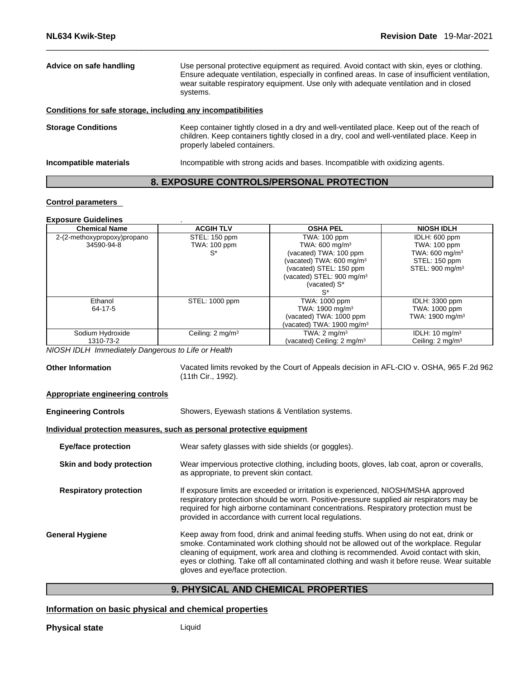| Advice on safe handling                                      | Use personal protective equipment as required. Avoid contact with skin, eyes or clothing.<br>Ensure adequate ventilation, especially in confined areas. In case of insufficient ventilation,<br>wear suitable respiratory equipment. Use only with adequate ventilation and in closed<br>systems. |
|--------------------------------------------------------------|---------------------------------------------------------------------------------------------------------------------------------------------------------------------------------------------------------------------------------------------------------------------------------------------------|
| Conditions for safe storage, including any incompatibilities |                                                                                                                                                                                                                                                                                                   |
| <b>Storage Conditions</b>                                    | Keep container tightly closed in a dry and well-ventilated place. Keep out of the reach of<br>children. Keep containers tightly closed in a dry, cool and well-ventilated place. Keep in<br>properly labeled containers.                                                                          |
| Incompatible materials                                       | Incompatible with strong acids and bases. Incompatible with oxidizing agents.                                                                                                                                                                                                                     |

# **8. EXPOSURE CONTROLS/PERSONAL PROTECTION**

# **Control parameters**

# **Exposure Guidelines** .

| <b>Chemical Name</b>        | <b>ACGIH TLV</b>             | <b>OSHA PEL</b>                        | <b>NIOSH IDLH</b>           |
|-----------------------------|------------------------------|----------------------------------------|-----------------------------|
| 2-(2-methoxypropoxy)propano | STEL: 150 ppm                | TWA: 100 ppm                           | IDLH: 600 ppm               |
| 34590-94-8                  | <b>TWA: 100 ppm</b>          | TWA: 600 mg/m <sup>3</sup>             | TWA: 100 ppm                |
|                             | $S^*$                        | (vacated) TWA: 100 ppm                 | TWA: 600 mg/m <sup>3</sup>  |
|                             |                              | (vacated) TWA: 600 mg/m <sup>3</sup>   | STEL: 150 ppm               |
|                             |                              | (vacated) STEL: 150 ppm                | STEL: 900 mg/m <sup>3</sup> |
|                             |                              | (vacated) STEL: 900 mg/m <sup>3</sup>  |                             |
|                             |                              | (vacated) S*                           |                             |
|                             |                              | S*                                     |                             |
| Ethanol                     | STEL: 1000 ppm               | TWA: 1000 ppm                          | IDLH: 3300 ppm              |
| 64-17-5                     |                              | TWA: 1900 mg/m <sup>3</sup>            | TWA: 1000 ppm               |
|                             |                              | (vacated) TWA: 1000 ppm                | TWA: 1900 mg/m <sup>3</sup> |
|                             |                              | (vacated) TWA: 1900 mg/m $3$           |                             |
| Sodium Hydroxide            | Ceiling: 2 mg/m <sup>3</sup> | TWA: $2 \text{ mg/m}^3$                | IDLH: $10 \text{ mg/m}^3$   |
| 1310-73-2                   |                              | (vacated) Ceiling: 2 mg/m <sup>3</sup> | Ceiling: $2 \text{ mg/m}^3$ |

*NIOSH IDLH Immediately Dangerous to Life or Health* 

Other Information **Vacated limits revoked by the Court of Appeals decision in AFL-CIO v. OSHA, 965 F.2d 962** (11th Cir., 1992).

#### **Appropriate engineering controls**

**Engineering Controls** Showers, Eyewash stations & Ventilation systems.

# **Individual protection measures, such as personal protective equipment**

| <b>Eye/face protection</b>    | Wear safety glasses with side shields (or goggles).                                                                                                                                                                                                                                                                                                                                                         |
|-------------------------------|-------------------------------------------------------------------------------------------------------------------------------------------------------------------------------------------------------------------------------------------------------------------------------------------------------------------------------------------------------------------------------------------------------------|
| Skin and body protection      | Wear impervious protective clothing, including boots, gloves, lab coat, apron or coveralls,<br>as appropriate, to prevent skin contact.                                                                                                                                                                                                                                                                     |
| <b>Respiratory protection</b> | If exposure limits are exceeded or irritation is experienced, NIOSH/MSHA approved<br>respiratory protection should be worn. Positive-pressure supplied air respirators may be<br>required for high airborne contaminant concentrations. Respiratory protection must be<br>provided in accordance with current local regulations.                                                                            |
| General Hygiene               | Keep away from food, drink and animal feeding stuffs. When using do not eat, drink or<br>smoke. Contaminated work clothing should not be allowed out of the workplace. Regular<br>cleaning of equipment, work area and clothing is recommended. Avoid contact with skin,<br>eyes or clothing. Take off all contaminated clothing and wash it before reuse. Wear suitable<br>gloves and eye/face protection. |
|                               |                                                                                                                                                                                                                                                                                                                                                                                                             |

# **9. PHYSICAL AND CHEMICAL PROPERTIES**

# **Information on basic physical and chemical properties**

**Physical state** Liquid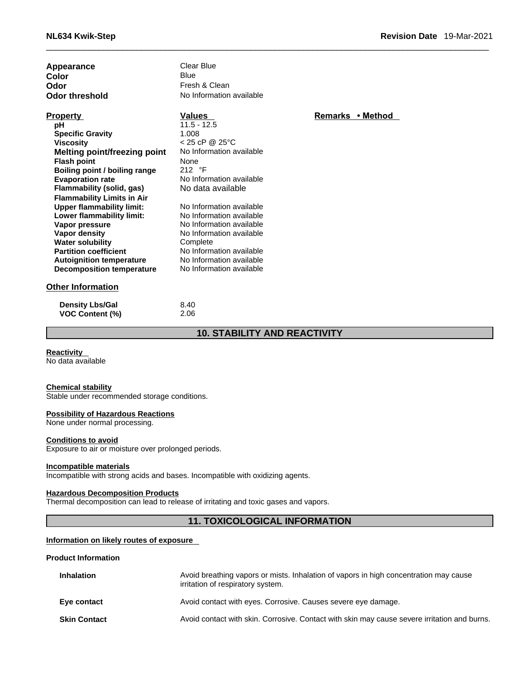| <b>Appearance</b> |  |  |
|-------------------|--|--|
| Color             |  |  |
| Odor              |  |  |
| Odor threshold    |  |  |

**Property**<br> **Property**<br> **PH**<br> **PH**<br> **PH**<br> **PH**<br> **PH**<br> **PH Specific Gravity** 1.008 **Viscosity** < 25 cP @ 25°C **Melting point/freezing point** No Information available **Flash point compared VI and September 1976**<br> **Boiling point / boiling range** 212 °F **Boiling point / boiling range**<br>**Evaporation rate Flammability** (solid, gas) **Flammability Limits in Air Upper flammability limit:** No Information available<br> **Lower flammability limit:** No Information available **Lower flammability limit: Vapor pressure** No Information available **Vapor density No Information available Water solubility** Complete

**Clear Blue**<br>Blue **Color** Blue Blue Fresh & Clean **No Information available** 

**pH** 11.5 - 12.5 No Information available<br>No data available

**Partition coefficient**<br> **Autoignition temperature**<br>
No Information available **Autoignition temperature** No Information available<br> **Decomposition temperature** No Information available

**Other Information**

**Decomposition temperature** 

| <b>Density Lbs/Gal</b> | 8.40 |
|------------------------|------|
| <b>VOC Content (%)</b> | 2.06 |

**10. STABILITY AND REACTIVITY** 

**Reactivity** 

No data available

#### **Chemical stability**

Stable under recommended storage conditions.

#### **Possibility of Hazardous Reactions**

None under normal processing.

#### **Conditions to avoid**

Exposure to air or moisture over prolonged periods.

#### **Incompatible materials**

Incompatible with strong acids and bases. Incompatible with oxidizing agents.

#### **Hazardous Decomposition Products**

Thermal decomposition can lead to release of irritating and toxic gases and vapors.

# **11. TOXICOLOGICAL INFORMATION**

#### **Information on likely routes of exposure**

#### **Product Information**

| <b>Inhalation</b>   | Avoid breathing vapors or mists. Inhalation of vapors in high concentration may cause<br>irritation of respiratory system. |
|---------------------|----------------------------------------------------------------------------------------------------------------------------|
| Eye contact         | Avoid contact with eyes. Corrosive. Causes severe eye damage.                                                              |
| <b>Skin Contact</b> | Avoid contact with skin. Corrosive. Contact with skin may cause severe irritation and burns.                               |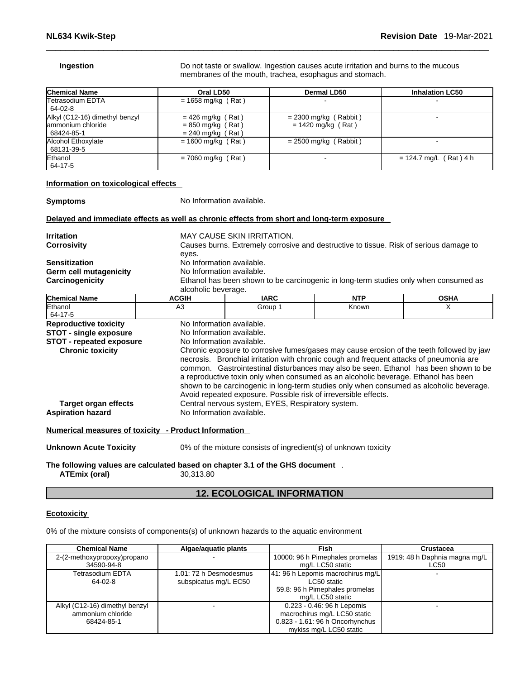**Ingestion Ingestion Do not taste or swallow. Ingestion causes acute irritation and burns to the mucous** membranes of the mouth, trachea, esophagus and stomach.

| <b>Chemical Name</b>                                                 | Oral LD50                                                         | Dermal LD50                                     | <b>Inhalation LC50</b>   |
|----------------------------------------------------------------------|-------------------------------------------------------------------|-------------------------------------------------|--------------------------|
| <b>Tetrasodium EDTA</b><br>64-02-8                                   | $= 1658$ mg/kg (Rat)                                              |                                                 |                          |
| Alkyl (C12-16) dimethyl benzyl<br>lammonium chloride<br>  68424-85-1 | $= 426$ mg/kg (Rat)<br>$= 850$ mg/kg (Rat)<br>$= 240$ mg/kg (Rat) | $= 2300$ mg/kg (Rabbit)<br>$= 1420$ mg/kg (Rat) |                          |
| Alcohol Ethoxylate<br>  68131-39-5                                   | $= 1600$ mg/kg (Rat)                                              | $= 2500$ mg/kg (Rabbit)                         |                          |
| Ethanol<br>64-17-5                                                   | $= 7060$ mg/kg (Rat)                                              |                                                 | $= 124.7$ mg/L (Rat) 4 h |

### **Information on toxicological effects**

**Symptoms** No Information available.

# **Delayed and immediate effects as well as chronic effects from short and long-term exposure**

| Irritation                                                        |                                                                                             | MAY CAUSE SKIN IRRITATION.                                                                                                                                                                                                                                                                            |            |                                                                                                                                                                                 |  |  |  |
|-------------------------------------------------------------------|---------------------------------------------------------------------------------------------|-------------------------------------------------------------------------------------------------------------------------------------------------------------------------------------------------------------------------------------------------------------------------------------------------------|------------|---------------------------------------------------------------------------------------------------------------------------------------------------------------------------------|--|--|--|
| <b>Corrosivity</b>                                                |                                                                                             | Causes burns. Extremely corrosive and destructive to tissue. Risk of serious damage to                                                                                                                                                                                                                |            |                                                                                                                                                                                 |  |  |  |
| <b>Sensitization</b><br>Germ cell mutagenicity<br>Carcinogenicity | eyes.<br>alcoholic beverage.                                                                | No Information available.<br>No Information available.<br>Ethanol has been shown to be carcinogenic in long-term studies only when consumed as                                                                                                                                                        |            |                                                                                                                                                                                 |  |  |  |
| <b>Chemical Name</b>                                              | <b>ACGIH</b>                                                                                | <b>IARC</b>                                                                                                                                                                                                                                                                                           | <b>NTP</b> | <b>OSHA</b>                                                                                                                                                                     |  |  |  |
| Ethanol<br>64-17-5                                                | A <sub>3</sub>                                                                              | Group 1                                                                                                                                                                                                                                                                                               | Known      | X                                                                                                                                                                               |  |  |  |
| <b>Reproductive toxicity</b>                                      | No Information available.                                                                   |                                                                                                                                                                                                                                                                                                       |            |                                                                                                                                                                                 |  |  |  |
| <b>STOT - single exposure</b>                                     | No Information available.                                                                   |                                                                                                                                                                                                                                                                                                       |            |                                                                                                                                                                                 |  |  |  |
| <b>STOT - repeated exposure</b><br><b>Chronic toxicity</b>        | No Information available.                                                                   |                                                                                                                                                                                                                                                                                                       |            | Chronic exposure to corrosive fumes/gases may cause erosion of the teeth followed by jaw                                                                                        |  |  |  |
| <b>Target organ effects</b><br><b>Aspiration hazard</b>           | No Information available.                                                                   | necrosis. Bronchial irritation with chronic cough and frequent attacks of pneumonia are<br>a reproductive toxin only when consumed as an alcoholic beverage. Ethanol has been<br>Avoid repeated exposure. Possible risk of irreversible effects.<br>Central nervous system, EYES, Respiratory system. |            | common. Gastrointestinal disturbances may also be seen. Ethanol has been shown to be<br>shown to be carcinogenic in long-term studies only when consumed as alcoholic beverage. |  |  |  |
|                                                                   | Numerical measures of toxicity - Product Information                                        |                                                                                                                                                                                                                                                                                                       |            |                                                                                                                                                                                 |  |  |  |
| <b>Unknown Acute Toxicity</b>                                     |                                                                                             | 0% of the mixture consists of ingredient(s) of unknown toxicity                                                                                                                                                                                                                                       |            |                                                                                                                                                                                 |  |  |  |
| <b>ATEmix (oral)</b>                                              | The following values are calculated based on chapter 3.1 of the GHS document .<br>30,313.80 |                                                                                                                                                                                                                                                                                                       |            |                                                                                                                                                                                 |  |  |  |

# **12. ECOLOGICAL INFORMATION**

### **Ecotoxicity**

0% of the mixture consists of components(s) of unknown hazards to the aquatic environment

| <b>Chemical Name</b>           | Algae/aguatic plants   | Fish                                | Crustacea                     |
|--------------------------------|------------------------|-------------------------------------|-------------------------------|
| 2-(2-methoxypropoxy)propano    |                        | 10000: 96 h Pimephales promelas     | 1919: 48 h Daphnia magna mg/L |
| 34590-94-8                     |                        | mg/L LC50 static                    | LC50                          |
| Tetrasodium EDTA               | 1.01: 72 h Desmodesmus | [41: 96 h Lepomis macrochirus mg/L] |                               |
| 64-02-8                        | subspicatus mg/L EC50  | LC50 static                         |                               |
|                                |                        | 59.8: 96 h Pimephales promelas      |                               |
|                                |                        | mg/L LC50 static                    |                               |
| Alkyl (C12-16) dimethyl benzyl |                        | 0.223 - 0.46: 96 h Lepomis          |                               |
| ammonium chloride              |                        | macrochirus mg/L LC50 static        |                               |
| 68424-85-1                     |                        | 0.823 - 1.61: 96 h Oncorhynchus     |                               |
|                                |                        | mykiss mg/L LC50 static             |                               |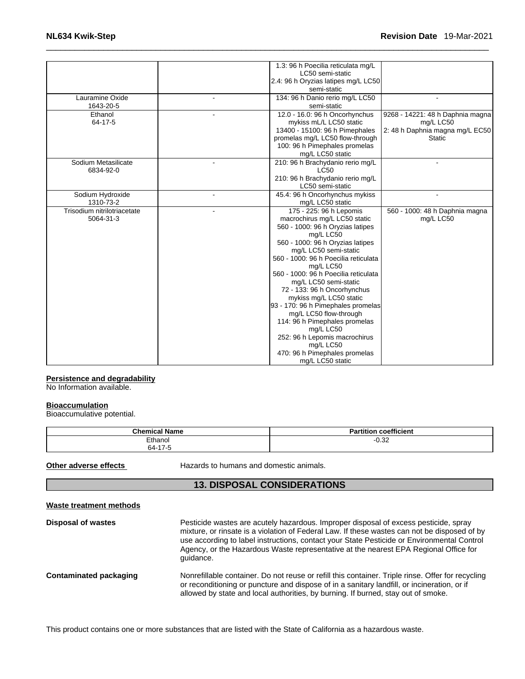| Lauramine Oxide                          | 1.3: 96 h Poecilia reticulata mg/L<br>LC50 semi-static<br>2.4: 96 h Oryzias latipes mg/L LC50<br>semi-static<br>134: 96 h Danio rerio mg/L LC50                                                                                                                                                                                                                                                                                                                                                                                                                        |                                                                                                   |
|------------------------------------------|------------------------------------------------------------------------------------------------------------------------------------------------------------------------------------------------------------------------------------------------------------------------------------------------------------------------------------------------------------------------------------------------------------------------------------------------------------------------------------------------------------------------------------------------------------------------|---------------------------------------------------------------------------------------------------|
| 1643-20-5                                | semi-static                                                                                                                                                                                                                                                                                                                                                                                                                                                                                                                                                            |                                                                                                   |
| Ethanol<br>64-17-5                       | 12.0 - 16.0: 96 h Oncorhynchus<br>mykiss mL/L LC50 static<br>13400 - 15100: 96 h Pimephales<br>promelas mg/L LC50 flow-through<br>100: 96 h Pimephales promelas<br>mg/L LC50 static                                                                                                                                                                                                                                                                                                                                                                                    | 9268 - 14221: 48 h Daphnia magna<br>mg/L LC50<br>2: 48 h Daphnia magna mg/L EC50<br><b>Static</b> |
| Sodium Metasilicate<br>6834-92-0         | 210: 96 h Brachydanio rerio mg/L<br><b>LC50</b><br>210: 96 h Brachydanio rerio mg/L<br>LC50 semi-static                                                                                                                                                                                                                                                                                                                                                                                                                                                                |                                                                                                   |
| Sodium Hydroxide<br>1310-73-2            | 45.4: 96 h Oncorhynchus mykiss<br>mg/L LC50 static                                                                                                                                                                                                                                                                                                                                                                                                                                                                                                                     |                                                                                                   |
| Trisodium nitrilotriacetate<br>5064-31-3 | 175 - 225: 96 h Lepomis<br>macrochirus mg/L LC50 static<br>560 - 1000: 96 h Oryzias latipes<br>mg/L LC50<br>560 - 1000: 96 h Oryzias latipes<br>mg/L LC50 semi-static<br>560 - 1000: 96 h Poecilia reticulata<br>mg/L LC50<br>560 - 1000: 96 h Poecilia reticulata<br>mg/L LC50 semi-static<br>72 - 133: 96 h Oncorhynchus<br>mykiss mg/L LC50 static<br>93 - 170: 96 h Pimephales promelas<br>mg/L LC50 flow-through<br>114: 96 h Pimephales promelas<br>mg/L LC50<br>252: 96 h Lepomis macrochirus<br>mg/L LC50<br>470: 96 h Pimephales promelas<br>mg/L LC50 static | 560 - 1000: 48 h Daphnia magna<br>mg/L LC50                                                       |

# **Persistence and degradability**

No Information available.

#### **Bioaccumulation**

Bioaccumulative potential.

| <b>Chemical Name</b> | coefficient<br>.<br>Partition |
|----------------------|-------------------------------|
| Ethanol              | ∩ วว<br>-∪.3∠                 |
| $64 - 17 - 5$        |                               |

**Other adverse effects** Hazards to humans and domestic animals.

# **13. DISPOSAL CONSIDERATIONS**

| Waste treatment methods |                                                                                                                                                                                                                                                                                                                                                                                         |
|-------------------------|-----------------------------------------------------------------------------------------------------------------------------------------------------------------------------------------------------------------------------------------------------------------------------------------------------------------------------------------------------------------------------------------|
| Disposal of wastes      | Pesticide wastes are acutely hazardous. Improper disposal of excess pesticide, spray<br>mixture, or rinsate is a violation of Federal Law. If these wastes can not be disposed of by<br>use according to label instructions, contact your State Pesticide or Environmental Control<br>Agency, or the Hazardous Waste representative at the nearest EPA Regional Office for<br>quidance. |
| Contaminated packaging  | Nonrefillable container. Do not reuse or refill this container. Triple rinse. Offer for recycling<br>or reconditioning or puncture and dispose of in a sanitary landfill, or incineration, or if<br>allowed by state and local authorities, by burning. If burned, stay out of smoke.                                                                                                   |

This product contains one or more substances that are listed with the State of California as a hazardous waste.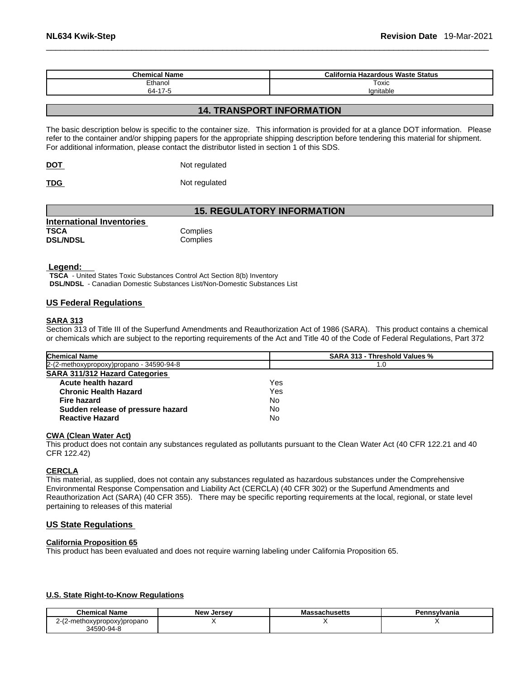| <b>Chemical Name</b> | a Hazardous Waste Status<br>California |
|----------------------|----------------------------------------|
| Ethanol              | Toxic                                  |
| 64-17-5              | Ianitable                              |

# **14. TRANSPORT INFORMATION**

The basic description below is specific to the container size. This information is provided for at a glance DOT information. Please refer to the container and/or shipping papers for the appropriate shipping description before tendering this material for shipment. For additional information, please contact the distributor listed in section 1 of this SDS.

| <b>DOT</b> | Not regulated |
|------------|---------------|
|            |               |

**TDG** Not regulated

# **15. REGULATORY INFORMATION**

| International Inventories |          |
|---------------------------|----------|
| <b>TSCA</b>               | Complies |
| <b>DSL/NDSL</b>           | Complies |

### **Legend:**

**TSCA** - United States Toxic Substances Control Act Section 8(b) Inventory **DSL/NDSL** - Canadian Domestic Substances List/Non-Domestic Substances List

# **US Federal Regulations**

#### **SARA 313**

Section 313 of Title III of the Superfund Amendments and Reauthorization Act of 1986 (SARA). This product contains a chemical or chemicals which are subject to the reporting requirements of the Act and Title 40 of the Code of Federal Regulations, Part 372

| <b>Chemical Name</b>                     | <b>SARA 313 - Threshold Values %</b> |
|------------------------------------------|--------------------------------------|
| 2-(2-methoxypropoxy)propano - 34590-94-8 | 1.0                                  |
| <b>SARA 311/312 Hazard Categories</b>    |                                      |
| Acute health hazard                      | Yes                                  |
| <b>Chronic Health Hazard</b>             | Yes                                  |
| <b>Fire hazard</b>                       | No                                   |
| Sudden release of pressure hazard        | No                                   |
| <b>Reactive Hazard</b>                   | No                                   |

# **CWA** (Clean Water Act)

This product does not contain any substances regulated as pollutants pursuant to the Clean Water Act (40 CFR 122.21 and 40 CFR 122.42)

### **CERCLA**

This material, as supplied, does not contain any substances regulated as hazardous substances under the Comprehensive Environmental Response Compensation and Liability Act (CERCLA) (40 CFR 302) or the Superfund Amendments and Reauthorization Act (SARA) (40 CFR 355). There may be specific reporting requirements at the local, regional, or state level pertaining to releases of this material

#### **US State Regulations**

#### **California Proposition 65**

This product has been evaluated and does not require warning labeling under California Proposition 65.

# **U.S. State Right-to-Know Regulations**

| Chemical Name                                   | <b>New</b><br>. Jersev | Massachusetts | Pennsvlvania |
|-------------------------------------------------|------------------------|---------------|--------------|
| $\sqrt{2}$<br>2-methoxypropoxy)propano<br>- 1 L |                        |               |              |
| 34590-94-8                                      |                        |               |              |